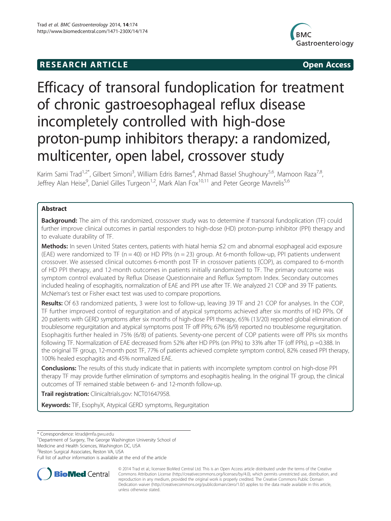# **RESEARCH ARTICLE Example 2014 CONSIDERING CONSIDERING CONSIDERING CONSIDERING CONSIDERING CONSIDERING CONSIDERING CONSIDERING CONSIDERING CONSIDERING CONSIDERING CONSIDERING CONSIDERING CONSIDERING CONSIDERING CONSIDE**



# Efficacy of transoral fundoplication for treatment of chronic gastroesophageal reflux disease incompletely controlled with high-dose proton-pump inhibitors therapy: a randomized, multicenter, open label, crossover study

Karim Sami Trad<sup>1,2\*</sup>, Gilbert Simoni<sup>3</sup>, William Edris Barnes<sup>4</sup>, Ahmad Bassel Shughoury<sup>5,6</sup>, Mamoon Raza<sup>7,8</sup>, Jeffrey Alan Heise<sup>9</sup>, Daniel Gilles Turgeon<sup>1,2</sup>, Mark Alan Fox<sup>10,11</sup> and Peter George Mavrelis<sup>5,6</sup>

## Abstract

**Background:** The aim of this randomized, crossover study was to determine if transoral fundoplication (TF) could further improve clinical outcomes in partial responders to high-dose (HD) proton-pump inhibitor (PPI) therapy and to evaluate durability of TF.

Methods: In seven United States centers, patients with hiatal hernia ≤2 cm and abnormal esophageal acid exposure (EAE) were randomized to TF ( $n = 40$ ) or HD PPIs ( $n = 23$ ) group. At 6-month follow-up, PPI patients underwent crossover. We assessed clinical outcomes 6-month post TF in crossover patients (COP), as compared to 6-month of HD PPI therapy, and 12-month outcomes in patients initially randomized to TF. The primary outcome was symptom control evaluated by Reflux Disease Questionnaire and Reflux Symptom Index. Secondary outcomes included healing of esophagitis, normalization of EAE and PPI use after TF. We analyzed 21 COP and 39 TF patients. McNemar's test or Fisher exact test was used to compare proportions.

Results: Of 63 randomized patients, 3 were lost to follow-up, leaving 39 TF and 21 COP for analyses. In the COP, TF further improved control of regurgitation and of atypical symptoms achieved after six months of HD PPIs. Of 20 patients with GERD symptoms after six months of high-dose PPI therapy, 65% (13/20) reported global elimination of troublesome regurgitation and atypical symptoms post TF off PPIs; 67% (6/9) reported no troublesome regurgitation. Esophagitis further healed in 75% (6/8) of patients. Seventy-one percent of COP patients were off PPIs six months following TF. Normalization of EAE decreased from 52% after HD PPIs (on PPIs) to 33% after TF (off PPIs), p =0.388. In the original TF group, 12-month post TF, 77% of patients achieved complete symptom control, 82% ceased PPI therapy, 100% healed esophagitis and 45% normalized EAE.

Conclusions: The results of this study indicate that in patients with incomplete symptom control on high-dose PPI therapy TF may provide further elimination of symptoms and esophagitis healing. In the original TF group, the clinical outcomes of TF remained stable between 6- and 12-month follow-up.

Trail registration: Clinicaltrials.gov: [NCT01647958.](https://clinicaltrials.gov/ct2/show/NCT01647958?term=Endogastric&rank=1)

Keywords: TIF, EsophyX, Atypical GERD symptoms, Regurgitation

\* Correspondence: [ktrad@mfa.gwu.edu](mailto:ktrad@mfa.gwu.edu) <sup>1</sup>

Department of Surgery, The George Washington University School of

Medicine and Health Sciences, Washington DC, USA

2 Reston Surgical Associates, Reston VA, USA

Full list of author information is available at the end of the article



© 2014 Trad et al.; licensee BioMed Central Ltd. This is an Open Access article distributed under the terms of the Creative Commons Attribution License [\(http://creativecommons.org/licenses/by/4.0\)](http://creativecommons.org/licenses/by/4.0), which permits unrestricted use, distribution, and reproduction in any medium, provided the original work is properly credited. The Creative Commons Public Domain Dedication waiver [\(http://creativecommons.org/publicdomain/zero/1.0/](http://creativecommons.org/publicdomain/zero/1.0/)) applies to the data made available in this article, unless otherwise stated.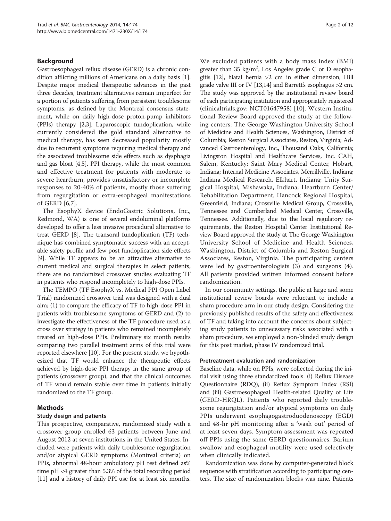## Background

Gastroesophageal reflux disease (GERD) is a chronic condition afflicting millions of Americans on a daily basis [[1](#page-10-0)]. Despite major medical therapeutic advances in the past three decades, treatment alternatives remain imperfect for a portion of patients suffering from persistent troublesome symptoms, as defined by the Montreal consensus statement, while on daily high-dose proton-pump inhibitors (PPIs) therapy [\[2,3\]](#page-10-0). Laparoscopic fundoplication, while currently considered the gold standard alternative to medical therapy, has seen decreased popularity mostly due to recurrent symptoms requiring medical therapy and the associated troublesome side effects such as dysphagia and gas bloat [\[4](#page-10-0)[,5](#page-11-0)]. PPI therapy, while the most common and effective treatment for patients with moderate to severe heartburn, provides unsatisfactory or incomplete responses to 20-40% of patients, mostly those suffering from regurgitation or extra-esophageal manifestations of GERD [\[6](#page-11-0),[7\]](#page-11-0).

The EsophyX device (EndoGastric Solutions, Inc., Redmond, WA) is one of several endoluminal platforms developed to offer a less invasive procedural alternative to treat GERD [\[8\]](#page-11-0). The transoral fundoplication (TF) technique has combined symptomatic success with an acceptable safety profile and few post fundoplication side effects [[9\]](#page-11-0). While TF appears to be an attractive alternative to current medical and surgical therapies in select patients, there are no randomized crossover studies evaluating TF in patients who respond incompletely to high-dose PPIs.

The TEMPO (TF EsophyX vs. Medical PPI Open Label Trial) randomized crossover trial was designed with a dual aim; (1) to compare the efficacy of TF to high-dose PPI in patients with troublesome symptoms of GERD and (2) to investigate the effectiveness of the TF procedure used as a cross over strategy in patients who remained incompletely treated on high-dose PPIs. Preliminary six month results comparing two parallel treatment arms of this trial were reported elsewhere [\[10\]](#page-11-0). For the present study, we hypothesized that TF would enhance the therapeutic effects achieved by high-dose PPI therapy in the same group of patients (crossover group), and that the clinical outcomes of TF would remain stable over time in patients initially randomized to the TF group.

#### Methods

#### Study design and patients

This prospective, comparative, randomized study with a crossover group enrolled 63 patients between June and August 2012 at seven institutions in the United States. Included were patients with daily troublesome regurgitation and/or atypical GERD symptoms (Montreal criteria) on PPIs, abnormal 48-hour ambulatory pH test defined as% time pH <4 greater than 5.3% of the total recording period [[11](#page-11-0)] and a history of daily PPI use for at least six months. We excluded patients with a body mass index (BMI) greater than 35  $\text{kg/m}^2$ , Los Angeles grade C or D esophagitis [[12\]](#page-11-0), hiatal hernia >2 cm in either dimension, Hill grade valve III or IV [\[13,14\]](#page-11-0) and Barrett's esophagus >2 cm. The study was approved by the institutional review board of each participating institution and appropriately registered (clinicaltrials.gov: NCT01647958) [[10\]](#page-11-0). Western Institutional Review Board approved the study at the following centers: The George Washington University School of Medicine and Health Sciences, Washington, District of Columbia; Reston Surgical Associates, Reston, Virginia; Advanced Gastroenterology, Inc., Thousand Oaks, California; Livingston Hospital and Healthcare Services, Inc. CAH, Salem, Kentucky; Saint Mary Medical Center, Hobart, Indiana; Internal Medicine Associates, Merrillville, Indiana; Indiana Medical Research, Elkhart, Indiana; Unity Surgical Hospital, Mishawaka, Indiana; Heartburn Center/ Rehabilitation Department, Hancock Regional Hospital, Greenfield, Indiana; Crossville Medical Group, Crossville, Tennessee and Cumberland Medical Center, Crossville, Tennessee. Additionally, due to the local regulatory requirements, the Reston Hospital Center Institutional Review Board approved the study at The George Washington University School of Medicine and Health Sciences, Washington, District of Columbia and Reston Surgical Associates, Reston, Virginia. The participating centers were led by gastroenterologists (3) and surgeons (4). All patients provided written informed consent before randomization.

In our community settings, the public at large and some institutional review boards were reluctant to include a sham procedure arm in our study design. Considering the previously published results of the safety and effectiveness of TF and taking into account the concerns about subjecting study patients to unnecessary risks associated with a sham procedure, we employed a non-blinded study design for this post market, phase IV randomized trial.

#### Pretreatment evaluation and randomization

Baseline data, while on PPIs, were collected during the initial visit using three standardized tools: (i) Reflux Disease Questionnaire (RDQ), (ii) Reflux Symptom Index (RSI) and (iii) Gastroesophageal Health-related Quality of Life (GERD-HRQL). Patients who reported daily troublesome regurgitation and/or atypical symptoms on daily PPIs underwent esophagogastroduodenoscopy (EGD) and 48-hr pH monitoring after a 'wash out' period of at least seven days. Symptom assessment was repeated off PPIs using the same GERD questionnaires. Barium swallow and esophageal motility were used selectively when clinically indicated.

Randomization was done by computer-generated block sequence with stratification according to participating centers. The size of randomization blocks was nine. Patients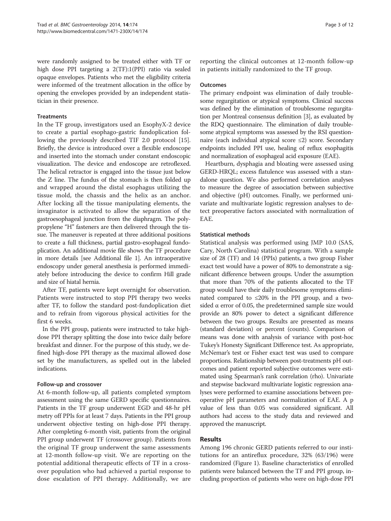were randomly assigned to be treated either with TF or high dose PPI targeting a 2(TF):1(PPI) ratio via sealed opaque envelopes. Patients who met the eligibility criteria were informed of the treatment allocation in the office by opening the envelopes provided by an independent statistician in their presence.

#### **Treatments**

In the TF group, investigators used an EsophyX-2 device to create a partial esophago-gastric fundoplication following the previously described TIF 2.0 protocol [\[15](#page-11-0)]. Briefly, the device is introduced over a flexible endoscope and inserted into the stomach under constant endoscopic visualization. The device and endoscope are retroflexed. The helical retractor is engaged into the tissue just below the Z line. The fundus of the stomach is then folded up and wrapped around the distal esophagus utilizing the tissue mold, the chassis and the helix as an anchor. After locking all the tissue manipulating elements, the invaginator is activated to allow the separation of the gastroesophageal junction from the diaphragm. The polypropylene "H" fasteners are then delivered through the tissue. The maneuver is repeated at three additional positions to create a full thickness, partial gastro-esophageal fundoplication. An additional movie file shows the TF procedure in more details [see Additional file [1\]](#page-10-0). An intraoperative endoscopy under general anesthesia is performed immediately before introducing the device to confirm Hill grade and size of hiatal hernia.

After TF, patients were kept overnight for observation. Patients were instructed to stop PPI therapy two weeks after TF, to follow the standard post-fundoplication diet and to refrain from vigorous physical activities for the first 6 weeks.

In the PPI group, patients were instructed to take highdose PPI therapy splitting the dose into twice daily before breakfast and dinner. For the purpose of this study, we defined high-dose PPI therapy as the maximal allowed dose set by the manufacturers, as spelled out in the labeled indications.

#### Follow-up and crossover

At 6-month follow-up, all patients completed symptom assessment using the same GERD specific questionnaires. Patients in the TF group underwent EGD and 48-hr pH metry off PPIs for at least 7 days. Patients in the PPI group underwent objective testing on high-dose PPI therapy. After completing 6-month visit, patients from the original PPI group underwent TF (crossover group). Patients from the original TF group underwent the same assessments at 12-month follow-up visit. We are reporting on the potential additional therapeutic effects of TF in a crossover population who had achieved a partial response to dose escalation of PPI therapy. Additionally, we are reporting the clinical outcomes at 12-month follow-up in patients initially randomized to the TF group.

#### **Outcomes**

The primary endpoint was elimination of daily troublesome regurgitation or atypical symptoms. Clinical success was defined by the elimination of troublesome regurgitation per Montreal consensus definition [[3](#page-10-0)], as evaluated by the RDQ questionnaire. The elimination of daily troublesome atypical symptoms was assessed by the RSI questionnaire (each individual atypical score ≤2) score. Secondary endpoints included PPI use, healing of reflux esophagitis and normalization of esophageal acid exposure (EAE).

Heartburn, dysphagia and bloating were assessed using GERD-HRQL; excess flatulence was assessed with a standalone question. We also performed correlation analyses to measure the degree of association between subjective and objective (pH) outcomes. Finally, we performed univariate and multivariate logistic regression analyses to detect preoperative factors associated with normalization of EAE.

#### Statistical methods

Statistical analysis was performed using JMP 10.0 (SAS, Cary, North Carolina) statistical program. With a sample size of 28 (TF) and 14 (PPIs) patients, a two group Fisher exact test would have a power of 80% to demonstrate a significant difference between groups. Under the assumption that more than 70% of the patients allocated to the TF group would have their daily troublesome symptoms eliminated compared to  $\leq 20\%$  in the PPI group, and a twosided  $\alpha$  error of 0.05, the predetermined sample size would provide an 80% power to detect a significant difference between the two groups. Results are presented as means (standard deviation) or percent (counts). Comparison of means was done with analysis of variance with post-hoc Tukey's Honesty Significant Difference test. As appropriate, McNemar's test or Fisher exact test was used to compare proportions. Relationship between post-treatments pH outcomes and patient reported subjective outcomes were estimated using Spearman's rank correlation (rho). Univariate and stepwise backward multivariate logistic regression analyses were performed to examine associations between preoperative pH parameters and normalization of EAE. A p value of less than 0.05 was considered significant. All authors had access to the study data and reviewed and approved the manuscript.

## Results

Among 196 chronic GERD patients referred to our institutions for an antireflux procedure, 32% (63/196) were randomized (Figure [1](#page-3-0)). Baseline characteristics of enrolled patients were balanced between the TF and PPI group, including proportion of patients who were on high-dose PPI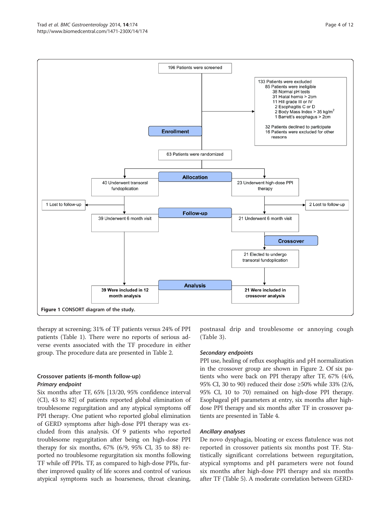<span id="page-3-0"></span>

therapy at screening; 31% of TF patients versus 24% of PPI patients (Table [1](#page-4-0)). There were no reports of serious adverse events associated with the TF procedure in either group. The procedure data are presented in Table [2.](#page-4-0)

## Crossover patients (6-month follow-up) Primary endpoint

Six months after TF, 65% [13/20, 95% confidence interval (CI), 43 to 82] of patients reported global elimination of troublesome regurgitation and any atypical symptoms off PPI therapy. One patient who reported global elimination of GERD symptoms after high-dose PPI therapy was excluded from this analysis. Of 9 patients who reported troublesome regurgitation after being on high-dose PPI therapy for six months, 67% (6/9, 95% CI, 35 to 88) reported no troublesome regurgitation six months following TF while off PPIs. TF, as compared to high-dose PPIs, further improved quality of life scores and control of various atypical symptoms such as hoarseness, throat cleaning,

postnasal drip and troublesome or annoying cough (Table [3\)](#page-5-0).

## Secondary endpoints

PPI use, healing of reflux esophagitis and pH normalization in the crossover group are shown in Figure [2](#page-6-0). Of six patients who were back on PPI therapy after TF, 67% (4/6, 95% CI, 30 to 90) reduced their dose ≥50% while 33% (2/6, 95% CI, 10 to 70) remained on high-dose PPI therapy. Esophageal pH parameters at entry, six months after highdose PPI therapy and six months after TF in crossover patients are presented in Table [4.](#page-7-0)

## Ancillary analyses

De novo dysphagia, bloating or excess flatulence was not reported in crossover patients six months post TF. Statistically significant correlations between regurgitation, atypical symptoms and pH parameters were not found six months after high-dose PPI therapy and six months after TF (Table [5](#page-8-0)). A moderate correlation between GERD-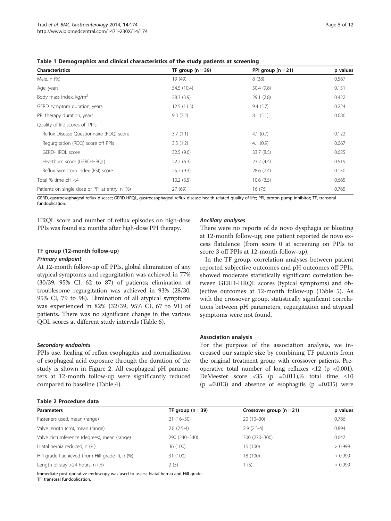| Page 5 of 12 |  |  |
|--------------|--|--|
|              |  |  |

| <b>Characteristics</b>                         | TF group $(n = 39)$ | PPI group $(n = 21)$ | p values |  |  |
|------------------------------------------------|---------------------|----------------------|----------|--|--|
| Male, n (%)                                    | 19 (49)             | 8(38)                | 0.587    |  |  |
| Age, years                                     | 54.5 (10.4)         | 50.4 (9.8)           | 0.151    |  |  |
| Body mass index, kg/m <sup>2</sup>             | 28.3(3.9)           | 29.1(2.8)            | 0.422    |  |  |
| GERD symptom duration, years                   | 12.5(11.3)          | 9.4(5.7)             | 0.224    |  |  |
| PPI therapy duration, years                    | 9.3(7.2)            | 8.1(5.1)             | 0.686    |  |  |
| Quality of life scores off PPIs                |                     |                      |          |  |  |
| Reflux Disease Questionnaire (RDQ) score       | 3.7(1.1)            | 4.1 $(0.7)$          | 0.122    |  |  |
| Regurgitation (RDQ) score off PPIs             | 3.5(1.2)            | 4.1(0.9)             | 0.067    |  |  |
| GERD-HRQL score                                | 32.5(9.6)           | 33.7 (8.5)           | 0.625    |  |  |
| Heartburn score (GERD-HRQL)                    | 22.2(6.3)           | 23.2(4.4)            | 0.519    |  |  |
| Reflux Symptom Index (RSI) score               | 25.2(9.3)           | 28.6(7.4)            | 0.150    |  |  |
| Total % time pH <4                             | 10.2(3.5)           | 10.6(3.5)            | 0.665    |  |  |
| Patients on single dose of PPI at entry, n (%) | 27(69)              | 16(76)               | 0.765    |  |  |

<span id="page-4-0"></span>

|  |  | Table 1 Demographics and clinical characteristics of the study patients at screening |  |  |
|--|--|--------------------------------------------------------------------------------------|--|--|
|--|--|--------------------------------------------------------------------------------------|--|--|

GERD, gastroesophageal reflux disease; GERD-HRQL, gastroesophageal reflux disease health related quality of life; PPI, proton pump inhibitor; TF, transoral fundoplication.

HRQL score and number of reflux episodes on high-dose PPIs was found six months after high-dose PPI therapy.

## TF group (12-month follow-up)

## Primary endpoint

At 12-month follow-up off PPIs, global elimination of any atypical symptoms and regurgitation was achieved in 77% (30/39, 95% CI, 62 to 87) of patients; elimination of troublesome regurgitation was achieved in 93% (28/30, 95% CI, 79 to 98). Elimination of all atypical symptoms was experienced in 82% (32/39, 95% CI, 67 to 91) of patients. There was no significant change in the various QOL scores at different study intervals (Table [6](#page-9-0)).

## Secondary endpoints

PPIs use, healing of reflux esophagitis and normalization of esophageal acid exposure through the duration of the study is shown in Figure [2.](#page-6-0) All esophageal pH parameters at 12-month follow-up were significantly reduced compared to baseline (Table [4](#page-7-0)).

## Ancillary analyses

There were no reports of de novo dysphagia or bloating at 12-month follow-up; one patient reported de novo excess flatulence (from score 0 at screening on PPIs to score 3 off PPIs at 12-month follow-up).

In the TF group, correlation analyses between patient reported subjective outcomes and pH outcomes off PPIs, showed moderate statistically significant correlation between GERD-HRQL scores (typical symptoms) and objective outcomes at 12-month follow-up (Table [5](#page-8-0)). As with the crossover group, statistically significant correlations between pH parameters, regurgitation and atypical symptoms were not found.

## Association analysis

For the purpose of the association analysis, we increased our sample size by combining TF patients from the original treatment group with crossover patients. Preoperative total number of long refluxes <12 (p <0.001), DeMeester score <35 (p =0.011),% total time  $\leq 10$ (p =0.013) and absence of esophagitis (p =0.035) were

## Table 2 Procedure data

| <b>Parameters</b>                                 | TF group $(n = 39)$ | Crossover group $(n = 21)$ | p values |
|---------------------------------------------------|---------------------|----------------------------|----------|
| Fasteners used, mean (range)                      | $21(16-30)$         | $20(10-30)$                | 0.786    |
| Valve length (cm), mean (range)                   | $2.8(2.5-4)$        | $2.9(2.5-4)$               | 0.894    |
| Valve circumference (degrees), mean (range)       | 290 (240-340)       | 300 (270-300)              | 0.647    |
| Hiatal hernia reduced, n (%)                      | 36 (100)            | 16 (100)                   | >0.999   |
| Hill grade I achieved (from Hill grade II), n (%) | 31 (100)            | 18 (100)                   | >0.999   |
| Length of stay $>24$ hours, n $(\%)$              | 2(5)                | (5)                        | >0.999   |

Immediate post-operative endoscopy was used to assess hiatal hernia and Hill grade.

TF, transoral fundoplication.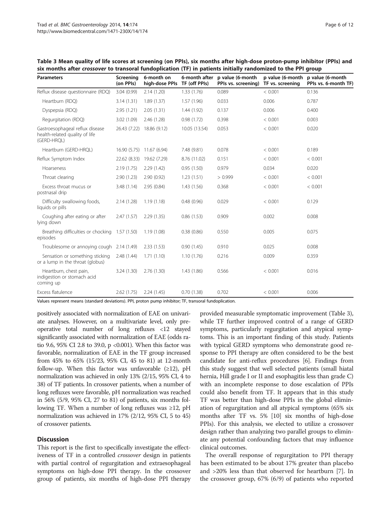| <b>Parameters</b>                                                                | Screening<br>(on PPIs) | 6-month on<br>high-dose PPIs | TF (off PPIs) | 6-month after p value (6-month<br>PPIs vs. screening) | p value (6-month<br>TF vs. screening | p value (6-month<br>PPIs vs. 6-month TF) |
|----------------------------------------------------------------------------------|------------------------|------------------------------|---------------|-------------------------------------------------------|--------------------------------------|------------------------------------------|
| Reflux disease questionnaire (RDQ)                                               | 3.04 (0.99)            | 2.14(1.20)                   | 1.33(1.76)    | 0.089                                                 | < 0.001                              | 0.136                                    |
| Heartburn (RDQ)                                                                  | 3.14(1.31)             | 1.89(1.37)                   | 1.57(1.96)    | 0.033                                                 | 0.006                                | 0.787                                    |
| Dyspepsia (RDQ)                                                                  | 2.95(1.21)             | 2.05(1.31)                   | 1.44(1.92)    | 0.137                                                 | 0.006                                | 0.400                                    |
| Regurgitation (RDQ)                                                              | 3.02 (1.09)            | 2.46 (1.28)                  | 0.98(1.72)    | 0.398                                                 | < 0.001                              | 0.003                                    |
| Gastroesophageal reflux disease<br>health-related quality of life<br>(GERD-HRQL) | 26.43 (7.22)           | 18.86 (9.12)                 | 10.05 (13.54) | 0.053                                                 | < 0.001                              | 0.020                                    |
| Heartburn (GERD-HRQL)                                                            |                        | 16.90 (5.75) 11.67 (6.94)    | 7.48 (9.81)   | 0.078                                                 | < 0.001                              | 0.189                                    |
| Reflux Symptom Index                                                             | 22.62 (8.33)           | 19.62 (7.29)                 | 8.76 (11.02)  | 0.151                                                 | < 0.001                              | < 0.001                                  |
| Hoarseness                                                                       | 2.19(1.75)             | 2.29(1.42)                   | 0.95(1.50)    | 0.979                                                 | 0.034                                | 0.020                                    |
| Throat clearing                                                                  | 2.90(1.23)             | 2.90(0.92)                   | 1.23(1.51)    | > 0.999                                               | < 0.001                              | < 0.001                                  |
| Excess throat mucus or<br>postnasal drip                                         | 3.48(1.14)             | 2.95(0.84)                   | 1.43(1.56)    | 0.368                                                 | < 0.001                              | < 0.001                                  |
| Difficulty swallowing foods,<br>liquids or pills                                 | 2.14(1.28)             | 1.19(1.18)                   | 0.48(0.96)    | 0.029                                                 | < 0.001                              | 0.129                                    |
| Coughing after eating or after<br>lying down                                     | 2.47(1.57)             | 2.29(1.35)                   | 0.86(1.53)    | 0.909                                                 | 0.002                                | 0.008                                    |
| Breathing difficulties or chocking<br>episodes                                   | 1.57(1.50)             | 1.19(1.08)                   | 0.38(0.86)    | 0.550                                                 | 0.005                                | 0.075                                    |
| Troublesome or annoying cough                                                    | 2.14(1.49)             | 2.33(1.53)                   | 0.90(1.45)    | 0.910                                                 | 0.025                                | 0.008                                    |
| Sensation or something sticking<br>or a lump in the throat (globus)              | 2.48(1.44)             | 1.71(1.10)                   | 1.10(1.76)    | 0.216                                                 | 0.009                                | 0.359                                    |
| Heartburn, chest pain,<br>indigestion or stomach acid<br>coming up               | 3.24 (1.30)            | 2.76(1.30)                   | 1.43 (1.86)   | 0.566                                                 | < 0.001                              | 0.016                                    |
| Excess flatulence                                                                | 2.62(1.75)             | 2.24(1.45)                   | 0.70(1.38)    | 0.702                                                 | < 0.001                              | 0.006                                    |

<span id="page-5-0"></span>Table 3 Mean quality of life scores at screening (on PPIs), six months after high-dose proton-pump inhibitor (PPIs) and six months after crossover to transoral fundoplication (TF) in patients initially randomized to the PPI group

Values represent means (standard deviations). PPI, proton pump inhibitor; TF, transoral fundoplication.

positively associated with normalization of EAE on univariate analyses. However, on a multivariate level, only preoperative total number of long refluxes <12 stayed significantly associated with normalization of EAE (odds ratio 9.6, 95% CI 2.8 to 39.0, p <0.001). When this factor was favorable, normalization of EAE in the TF group increased from 45% to 65% (15/23, 95% CI, 45 to 81) at 12-month follow-up. When this factor was unfavorable  $(≥12)$ , pH normalization was achieved in only 13% (2/15, 95% CI, 4 to 38) of TF patients. In crossover patients, when a number of long refluxes were favorable, pH normalization was reached in 56% (5/9, 95% CI, 27 to 81) of patients, six months following TF. When a number of long refluxes was ≥12, pH normalization was achieved in 17% (2/12, 95% CI, 5 to 45) of crossover patients.

## **Discussion**

This report is the first to specifically investigate the effectiveness of TF in a controlled crossover design in patients with partial control of regurgitation and extraesophageal symptoms on high-dose PPI therapy. In the crossover group of patients, six months of high-dose PPI therapy

provided measurable symptomatic improvement (Table 3), while TF further improved control of a range of GERD symptoms, particularly regurgitation and atypical symptoms. This is an important finding of this study. Patients with typical GERD symptoms who demonstrate good response to PPI therapy are often considered to be the best candidate for anti-reflux procedures [[6](#page-11-0)]. Findings from this study suggest that well selected patients (small hiatal hernia, Hill grade I or II and esophagitis less than grade C) with an incomplete response to dose escalation of PPIs could also benefit from TF. It appears that in this study TF was better than high-dose PPIs in the global elimination of regurgitation and all atypical symptoms (65% six months after TF vs. 5% [\[10\]](#page-11-0) six months of high-dose PPIs). For this analysis, we elected to utilize a crossover design rather than analyzing two parallel groups to eliminate any potential confounding factors that may influence clinical outcomes.

The overall response of regurgitation to PPI therapy has been estimated to be about 17% greater than placebo and >20% less than that observed for heartburn [[7](#page-11-0)]. In the crossover group, 67% (6/9) of patients who reported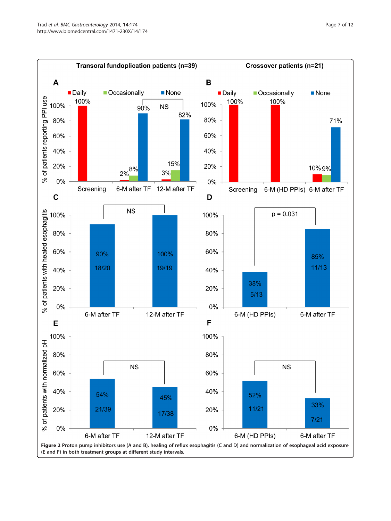<span id="page-6-0"></span>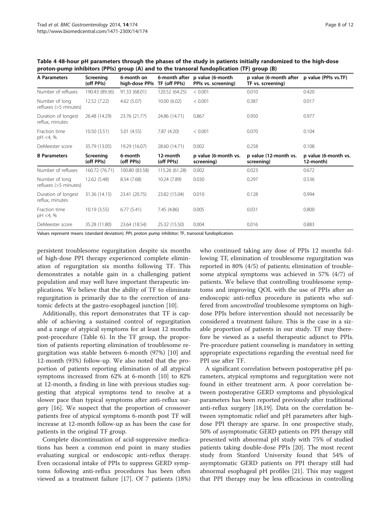| A Parameters                            | Screening<br>(off PPIs) | 6-month on<br>high-dose PPIs | 6-month after<br>TF (off PPIs) | p value (6-month<br>PPIs vs. screening) | p value (6-month after<br>TF vs. screening) | p value (PPIs vs.TF)              |
|-----------------------------------------|-------------------------|------------------------------|--------------------------------|-----------------------------------------|---------------------------------------------|-----------------------------------|
| Number of refluxes                      | 190.43 (89.36)          | 91.33 (68.01)                | 120.52 (64.25)                 | < 0.001                                 | 0.010                                       | 0.420                             |
| Number of long<br>refluxes (>5 minutes) | 12.52 (7.22)            | 4.62(5.07)                   | 10.00(6.02)                    | < 0.001                                 | 0.387                                       | 0.017                             |
| Duration of longest<br>reflux, minutes  | 26.48 (14.29)           | 23.76 (21.77)                | 24.86 (14.71)                  | 0.867                                   | 0.950                                       | 0.977                             |
| Fraction time<br>pH <4, %               | 10.50(3.51)             | 5.01(4.55)                   | 7.87 (4.20)                    | < 0.001                                 | 0.070                                       | 0.104                             |
| DeMeester score                         | 35.79 (13.05)           | 19.29 (16.07)                | 28.60 (14.71)                  | 0.002                                   | 0.258                                       | 0.108                             |
| <b>B</b> Parameters                     | Screening<br>(off PPIs) | 6-month<br>(off PPIs)        | 12-month<br>(off PPIs)         | p value (6-month vs.<br>screening)      | p value (12-month vs.<br>screening)         | p value (6-month vs.<br>12-month) |
| Number of refluxes                      | 160.72 (76.71)          | 100.80 (83.58)               | 115.26 (61.28)                 | 0.002                                   | 0.023                                       | 0.672                             |
| Number of long<br>refluxes (>5 minutes) | 12.62 (5.48)            | 8.54 (7.68)                  | 10.24 (7.89)                   | 0.030                                   | 0.297                                       | 0.536                             |
| Duration of longest<br>reflux, minutes  | 31.36 (14.15)           | 23.41 (20.75)                | 23.82 (15.04)                  | 0.010                                   | 0.128                                       | 0.994                             |
| Fraction time<br>pH <4, %               | 10.19(3.55)             | 6.77(5.41)                   | 7.45 (4.86)                    | 0.005                                   | 0.031                                       | 0.800                             |
| DeMeester score                         | 35.28 (11.80)           | 23.64 (18.54)                | 25.32 (15.50)                  | 0.004                                   | 0.016                                       | 0.883                             |
|                                         |                         |                              |                                |                                         |                                             |                                   |

<span id="page-7-0"></span>Table 4 48-hour pH parameters through the phases of the study in patients initially randomized to the high-dose proton-pump inhibitors (PPIs) group (A) and to the transoral fundoplication (TF) group (B)

Values represent means (standard deviation). PPI, proton pump inhibitor; TF, transoral fundoplication.

persistent troublesome regurgitation despite six months of high-dose PPI therapy experienced complete elimination of regurgitation six months following TF. This demonstrates a notable gain in a challenging patient population and may well have important therapeutic implications. We believe that the ability of TF to eliminate regurgitation is primarily due to the correction of anatomic defects at the gastro-esophageal junction [\[10](#page-11-0)].

Additionally, this report demonstrates that TF is capable of achieving a sustained control of regurgitation and a range of atypical symptoms for at least 12 months post-procedure (Table [6](#page-9-0)). In the TF group, the proportion of patients reporting elimination of troublesome regurgitation was stable between 6-month (97%) [[10](#page-11-0)] and 12-month (93%) follow-up. We also noted that the proportion of patients reporting elimination of all atypical symptoms increased from 62% at 6-month [\[10](#page-11-0)] to 82% at 12-month, a finding in line with previous studies suggesting that atypical symptoms tend to resolve at a slower pace than typical symptoms after anti-reflux surgery [\[16](#page-11-0)]. We suspect that the proportion of crossover patients free of atypical symptoms 6-month post TF will increase at 12-month follow-up as has been the case for patients in the original TF group.

Complete discontinuation of acid-suppressive medications has been a common end point in many studies evaluating surgical or endoscopic anti-reflux therapy. Even occasional intake of PPIs to suppress GERD symptoms following anti-reflux procedures has been often viewed as a treatment failure [[17](#page-11-0)]. Of 7 patients (18%)

who continued taking any dose of PPIs 12 months following TF, elimination of troublesome regurgitation was reported in 80% (4/5) of patients; elimination of troublesome atypical symptoms was achieved in 57% (4/7) of patients. We believe that controlling troublesome symptoms and improving QOL with the use of PPIs after an endoscopic anti-reflux procedure in patients who suffered from uncontrolled troublesome symptoms on highdose PPIs before intervention should not necessarily be considered a treatment failure. This is the case in a sizable proportion of patients in our study. TF may therefore be viewed as a useful therapeutic adjunct to PPIs. Pre-procedure patient counseling is mandatory in setting appropriate expectations regarding the eventual need for PPI use after TF.

A significant correlation between postoperative pH parameters, atypical symptoms and regurgitation were not found in either treatment arm. A poor correlation between postoperative GERD symptoms and physiological parameters has been reported previously after traditional anti-reflux surgery [\[18,19](#page-11-0)]. Data on the correlation between symptomatic relief and pH parameters after highdose PPI therapy are sparse. In one prospective study, 50% of asymptomatic GERD patients on PPI therapy still presented with abnormal pH study with 75% of studied patients taking double-dose PPIs [\[20](#page-11-0)]. The most recent study from Stanford University found that 54% of asymptomatic GERD patients on PPI therapy still had abnormal esophageal pH profiles [[21\]](#page-11-0). This may suggest that PPI therapy may be less efficacious in controlling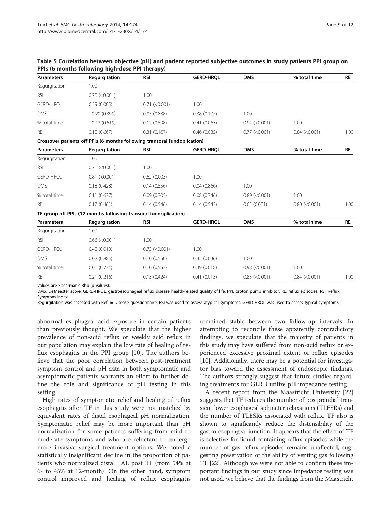| <b>Parameters</b> | Regurgitation                                                             | <b>RSI</b>          | <b>GERD-HRQL</b> | <b>DMS</b>          | % total time        | RE        |
|-------------------|---------------------------------------------------------------------------|---------------------|------------------|---------------------|---------------------|-----------|
| Regurgitation     | 1.00                                                                      |                     |                  |                     |                     |           |
| <b>RSI</b>        | $0.70$ (< $0.001$ )                                                       | 1.00                |                  |                     |                     |           |
| <b>GERD-HRQL</b>  | 0.59(0.005)                                                               | $0.71$ (< $0.001$ ) | 1.00             |                     |                     |           |
| <b>DMS</b>        | $-0.20(0.399)$                                                            | 0.05(0.838)         | 0.38(0.107)      | 1.00                |                     |           |
| % total time      | $-0.12(0.619)$                                                            | 0.12(0.598)         | 0.41(0.063)      | $0.94$ (< $0.001$ ) | 1.00                |           |
| <b>RE</b>         | 0.10(0.667)                                                               | 0.31(0.167)         | 0.46(0.035)      | $0.77$ (< $0.001$ ) | $0.84$ (< $0.001$ ) | 1.00      |
|                   | Crossover patients off PPIs (6 months following transoral fundoplication) |                     |                  |                     |                     |           |
| <b>Parameters</b> | Regurgitation                                                             | <b>RSI</b>          | <b>GERD-HRQL</b> | <b>DMS</b>          | % total time        | <b>RE</b> |
| Regurgitation     | 1.00                                                                      |                     |                  |                     |                     |           |
| <b>RSI</b>        | $0.71$ (< $0.001$ )                                                       | 1.00                |                  |                     |                     |           |
| <b>GERD-HRQL</b>  | $0.81$ (< $0.001$ )                                                       | 0.62(0.003)         | 1.00             |                     |                     |           |
| <b>DMS</b>        | 0.18(0.428)                                                               | 0.14(0.556)         | 0.04(0.866)      | 1.00                |                     |           |
| % total time      | 0.11(0.637)                                                               | 0.09(0.705)         | 0.08(0.746)      | $0.89$ (< $0.001$ ) | 1.00                |           |
| RE                | 0.17(0.461)                                                               | 0.14(0.546)         | 0.14(0.543)      | 0.65(0.001)         | $0.80$ (< $0.001$ ) | 1.00      |
|                   | TF group off PPIs (12 months following transoral fundoplication)          |                     |                  |                     |                     |           |
| <b>Parameters</b> | Regurgitation                                                             | <b>RSI</b>          | <b>GERD-HRQL</b> | <b>DMS</b>          | % total time        | RE        |
| Regurgitation     | 1.00                                                                      |                     |                  |                     |                     |           |
| <b>RSI</b>        | $0.66$ (< $0.001$ )                                                       | 1.00                |                  |                     |                     |           |
| <b>GERD-HRQL</b>  | 0.42(0.010)                                                               | $0.73$ (< $0.001$ ) | 1.00             |                     |                     |           |
| <b>DMS</b>        | 0.02(0.885)                                                               | 0.10(0.550)         | 0.35(0.036)      | 1.00                |                     |           |
| % total time      | 0.06(0.724)                                                               | 0.10(0.552)         | 0.39(0.018)      | $0.98$ (< $0.001$ ) | 1.00                |           |
| <b>RE</b>         | 0.21(0.216)                                                               | 0.13(0.424)         | 0.41(0.013)      | $0.83$ (< $0.001$ ) | $0.84$ (< $0.001$ ) | 1.00      |

<span id="page-8-0"></span>Table 5 Correlation between objective (pH) and patient reported subjective outcomes in study patients PPI group on PPIs (6 months following high-dose PPI therapy)

Values are Spearman's Rho (p values).

DMS, DeMeester score; GERD-HRQL, gastroesophageal reflux disease health-related quality of life; PPI, proton pump inhibitor; RE, reflux episodes; RSI, Reflux Symptom Index.

Regurgitation was assessed with Reflux Disease questionnaire. RSI was used to assess atypical symptoms. GERD-HRQL was used to assess typical symptoms.

abnormal esophageal acid exposure in certain patients than previously thought. We speculate that the higher prevalence of non-acid reflux or weekly acid reflux in our population may explain the low rate of healing of reflux esophagitis in the PPI group [\[10](#page-11-0)]. The authors believe that the poor correlation between post-treatment symptom control and pH data in both symptomatic and asymptomatic patients warrants an effort to further define the role and significance of pH testing in this setting.

High rates of symptomatic relief and healing of reflux esophagitis after TF in this study were not matched by equivalent rates of distal esophageal pH normalization. Symptomatic relief may be more important than pH normalization for some patients suffering from mild to moderate symptoms and who are reluctant to undergo more invasive surgical treatment options. We noted a statistically insignificant decline in the proportion of patients who normalized distal EAE post TF (from 54% at 6- to 45% at 12-month). On the other hand, symptom control improved and healing of reflux esophagitis

remained stable between two follow-up intervals. In attempting to reconcile these apparently contradictory findings, we speculate that the majority of patients in this study may have suffered from non-acid reflux or experienced excessive proximal extent of reflux episodes [[10\]](#page-11-0). Additionally, there may be a potential for investigator bias toward the assessment of endoscopic findings. The authors strongly suggest that future studies regarding treatments for GERD utilize pH impedance testing.

A recent report from the Maastricht University [[22](#page-11-0)] suggests that TF reduces the number of postprandial transient lower esophageal sphincter relaxations (TLESRs) and the number of TLESRs associated with reflux. TF also is shown to significantly reduce the distensibility of the gastro-esophageal junction. It appears that the effect of TF is selective for liquid-containing reflux episodes while the number of gas reflux episodes remains unaffected, suggesting preservation of the ability of venting gas following TF [[22](#page-11-0)]. Although we were not able to confirm these important findings in our study since impedance testing was not used, we believe that the findings from the Maastricht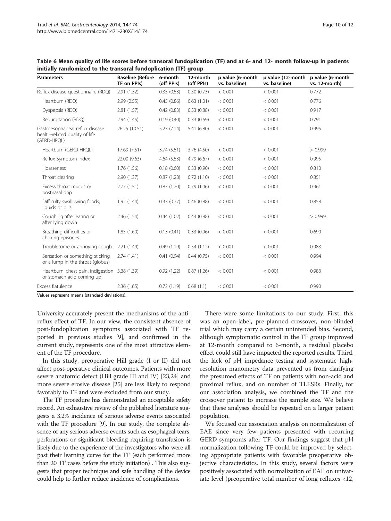| <b>Parameters</b>                                                                | <b>Baseline (Before</b><br>TF on PPIs) | 6-month<br>(off PPIs) | 12-month<br>(off PPIs) | p value (6-month<br>vs. baseline) | p value (12-month<br>vs. baseline) | p value (6-month<br>vs. 12-month) |
|----------------------------------------------------------------------------------|----------------------------------------|-----------------------|------------------------|-----------------------------------|------------------------------------|-----------------------------------|
| Reflux disease questionnaire (RDQ)                                               | 2.91(1.32)                             | 0.35(0.53)            | 0.50(0.73)             | < 0.001                           | < 0.001                            | 0.772                             |
| Heartburn (RDQ)                                                                  | 2.99(2.55)                             | 0.45(0.86)            | 0.63(1.01)             | < 0.001                           | < 0.001                            | 0.776                             |
| Dyspepsia (RDQ)                                                                  | 2.81(1.57)                             | 0.42(0.83)            | 0.53(0.88)             | < 0.001                           | < 0.001                            | 0.917                             |
| Regurgitation (RDQ)                                                              | 2.94(1.45)                             | 0.19(0.40)            | 0.33(0.69)             | < 0.001                           | < 0.001                            | 0.791                             |
| Gastroesophageal reflux disease<br>health-related quality of life<br>(GERD-HRQL) | 26.25 (10.51)                          | 5.23(7.14)            | 5.41(6.80)             | < 0.001                           | < 0.001                            | 0.995                             |
| Heartburn (GERD-HRQL)                                                            | 17.69 (7.51)                           | 3.74(5.51)            | 3.76 (4.50)            | < 0.001                           | < 0.001                            | >0.999                            |
| Reflux Symptom Index                                                             | 22.00 (9.63)                           | 4.64(5.53)            | 4.79(6.67)             | < 0.001                           | < 0.001                            | 0.995                             |
| Hoarseness                                                                       | 1.76(1.56)                             | 0.18(0.60)            | 0.33(0.90)             | < 0.001                           | < 0.001                            | 0.810                             |
| Throat clearing                                                                  | 2.90(1.37)                             | 0.87(1.28)            | 0.72(1.10)             | < 0.001                           | < 0.001                            | 0.851                             |
| Excess throat mucus or<br>postnasal drip                                         | 2.77(1.51)                             | 0.87(1.20)            | 0.79(1.06)             | < 0.001                           | < 0.001                            | 0.961                             |
| Difficulty swallowing foods,<br>liquids or pills                                 | 1.92(1.44)                             | 0.33(0.77)            | 0.46(0.88)             | < 0.001                           | < 0.001                            | 0.858                             |
| Coughing after eating or<br>after lying down                                     | 2.46(1.54)                             | 0.44(1.02)            | 0.44(0.88)             | < 0.001                           | < 0.001                            | >0.999                            |
| Breathing difficulties or<br>choking episodes                                    | 1.85(1.60)                             | 0.13(0.41)            | 0.33(0.96)             | < 0.001                           | < 0.001                            | 0.690                             |
| Troublesome or annoying cough                                                    | 2.21(1.49)                             | 0.49(1.19)            | 0.54(1.12)             | < 0.001                           | < 0.001                            | 0.983                             |
| Sensation or something sticking<br>or a lump in the throat (globus)              | 2.74(1.41)                             | 0.41(0.94)            | 0.44(0.75)             | < 0.001                           | < 0.001                            | 0.994                             |
| Heartburn, chest pain, indigestion<br>or stomach acid coming up                  | 3.38 (1.39)                            | 0.92(1.22)            | 0.87(1.26)             | < 0.001                           | < 0.001                            | 0.983                             |
| Excess flatulence                                                                | 2.36(1.65)                             | 0.72(1.19)            | 0.68(1.1)              | < 0.001                           | < 0.001                            | 0.990                             |

<span id="page-9-0"></span>Table 6 Mean quality of life scores before transoral fundoplication (TF) and at 6- and 12- month follow-up in patients initially randomized to the transoral fundoplication (TF) group

Values represent means (standard deviations).

University accurately present the mechanisms of the antireflux effect of TF. In our view, the consistent absence of post-fundoplication symptoms associated with TF reported in previous studies [[9\]](#page-11-0), and confirmed in the current study, represents one of the most attractive element of the TF procedure.

In this study, preoperative Hill grade (I or II) did not affect post-operative clinical outcomes. Patients with more severe anatomic defect (Hill grade III and IV) [\[23,24](#page-11-0)] and more severe erosive disease [\[25\]](#page-11-0) are less likely to respond favorably to TF and were excluded from our study.

The TF procedure has demonstrated an acceptable safety record. An exhaustive review of the published literature suggests a 3.2% incidence of serious adverse events associated with the TF procedure [\[9](#page-11-0)]. In our study, the complete absence of any serious adverse events such as esophageal tears, perforations or significant bleeding requiring transfusion is likely due to the experience of the investigators who were all past their learning curve for the TF (each performed more than 20 TF cases before the study initiation) . This also suggests that proper technique and safe handling of the device could help to further reduce incidence of complications.

There were some limitations to our study. First, this was an open-label, pre-planned crossover, non-blinded trial which may carry a certain unintended bias. Second, although symptomatic control in the TF group improved at 12-month compared to 6-month, a residual placebo effect could still have impacted the reported results. Third, the lack of pH impedance testing and systematic highresolution manometry data prevented us from clarifying the presumed effects of TF on patients with non-acid and proximal reflux, and on number of TLESRs. Finally, for our association analysis, we combined the TF and the crossover patient to increase the sample size. We believe that these analyses should be repeated on a larger patient population.

We focused our association analysis on normalization of EAE since very few patients presented with recurring GERD symptoms after TF. Our findings suggest that pH normalization following TF could be improved by selecting appropriate patients with favorable preoperative objective characteristics. In this study, several factors were positively associated with normalization of EAE on univariate level (preoperative total number of long refluxes <12,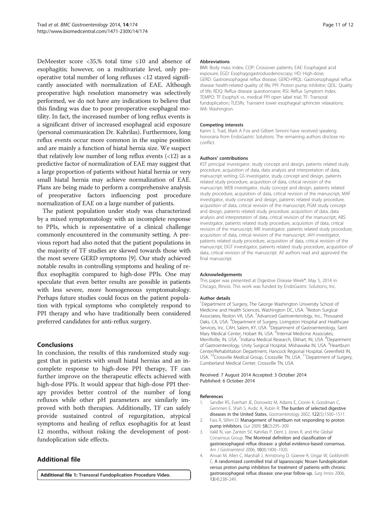<span id="page-10-0"></span>DeMeester score <35,% total time ≤10 and absence of esophagitis; however, on a multivariate level, only preoperative total number of long refluxes <12 stayed significantly associated with normalization of EAE. Although preoperative high resolution manometry was selectively performed, we do not have any indications to believe that this finding was due to poor preoperative esophageal motility. In fact, the increased number of long reflux events is a significant driver of increased esophageal acid exposure (personal communication Dr. Kahrilas). Furthermore, long reflux events occur more common in the supine position and are mainly a function of hiatal hernia size. We suspect that relatively low number of long reflux events  $\left($ <12) as a predictive factor of normalization of EAE may suggest that a large proportion of patients without hiatal hernia or very small hiatal hernia may achieve normalization of EAE. Plans are being made to perform a comprehensive analysis of preoperative factors influencing post procedure normalization of EAE on a large number of patients.

The patient population under study was characterized by a mixed symptomatology with an incomplete response to PPIs, which is representative of a clinical challenge commonly encountered in the community setting. A previous report had also noted that the patient populations in the majority of TF studies are skewed towards those with the most severe GERD symptoms [\[9\]](#page-11-0). Our study achieved notable results in controlling symptoms and healing of reflux esophagitis compared to high-dose PPIs. One may speculate that even better results are possible in patients with less severe, more homogeneous symptomatology. Perhaps future studies could focus on the patient population with typical symptoms who completely respond to PPI therapy and who have traditionally been considered preferred candidates for anti-reflux surgery.

## Conclusions

In conclusion, the results of this randomized study suggest that in patients with small hiatal hernias and an incomplete response to high-dose PPI therapy, TF can further improve on the therapeutic effects achieved with high-dose PPIs. It would appear that high-dose PPI therapy provides better control of the number of long refluxes while other pH parameters are similarly improved with both therapies. Additionally, TF can safely provide sustained control of regurgitation, atypical symptoms and healing of reflux esophagitis for at least 12 months, without risking the development of postfundoplication side effects.

## Additional file

[Additional file 1:](http://www.biomedcentral.com/content/supplementary/1471-230X-14-174-S1.zip) Transoral Fundoplication Procedure Video.

#### Abbreviations

BMI: Body mass index; COP: Crossover patients; EAE: Esophageal acid exposure; EGD: Esophagogastroduodenoscopy; HD: High-dose; GERD: Gastroesophageal reflux disease; GERD-HRQL: Gastroesophageal reflux disease health-related quality of life; PPI: Proton pump inhibitor; QOL: Quality of life; RDQ: Reflux disease questionnaire; RSI: Reflux Symptom Index; TEMPO: TF EsophyX vs. medical PPI open label trial; TF: Transoral fundoplication; TLESRs: Transient lower esophageal sphincter relaxations; WA: Washington.

#### Competing interests

Karim S. Trad, Mark A Fox and Gilbert Simoni have received speaking honoraria from EndoGastric Solutions. The remaining authors disclose no conflict.

#### Authors' contributions

KST principal investigator, study concept and design, patients related study procedure, acquisition of data, data analysis and interpretation of data, manuscript writing; GS investigator, study concept and design, patients related study procedure, acquisition of data, critical revision of the manuscript; WEB investigator, study concept and design, patients related study procedure, acquisition of data, critical revision of the manuscript; MAF investigator, study concept and design, patients related study procedure, acquisition of data, critical revision of the manuscript; PGM study concept and design, patients related study procedure, acquisition of data, data analysis and interpretation of data, critical revision of the manuscript; ABS investigator, patients related study procedure, acquisition of data, critical revision of the manuscript; MR investigator, patients related study procedure, acquisition of data, critical revision of the manuscript; JAH investigator, patients related study procedure, acquisition of data, critical revision of the manuscript; DGT investigator, patients related study procedure, acquisition of data, critical revision of the manuscript. All authors read and approved the final manuscript.

#### Acknowledgements

This paper was presented at Digestive Disease Week®, May 5, 2014 in Chicago, Illinois. This work was funded by EndoGastric Solutions, Inc.

#### Author details

<sup>1</sup>Department of Surgery, The George Washington University School of Medicine and Health Sciences, Washington DC, USA. <sup>2</sup>Reston Surgical Associates, Reston VA, USA. <sup>3</sup>Advanced Gastroenterology, Inc., Thousand Oaks, CA, USA. <sup>4</sup>Department of Surgery, Livingston Hospital and Healthcare Services, Inc. CAH, Salem, KY, USA. <sup>5</sup>Department of Gastroenterology, Saint Mary Medical Center, Hobart IN, USA. <sup>6</sup>Internal Medicine Associates Merrillville, IN, USA. <sup>7</sup>Indiana Medical Research, Elkhart, IN, USA. <sup>8</sup>Department of Gastroenterology, Unity Surgical Hospital, Mishawaka IN, USA. <sup>9</sup>Heartburn Center/Rehabilitation Department, Hancock Regional Hospital, Greenfield IN, USA. <sup>10</sup>Crossville Medical Group, Crossville TN, USA. <sup>11</sup>Department of Surgery, Cumberland Medical Center, Crossville TN, USA.

#### Received: 7 August 2014 Accepted: 3 October 2014 Published: 6 October 2014

#### References

- 1. Sandler RS, Everhart JE, Donowitz M, Adams E, Cronin K, Goodman C, Gemmen E, Shah S, Avdic A, Rubin R: The burden of selected digestive diseases in the United States. Gastroenterology 2002, 122(5):1500–1511.
- 2. Fass R, Sifrim D: Management of heartburn not responding to proton pump inhibitors. Gut 2009, 58(2):295–309.
- 3. Vakil N, van Zanten SV, Kahrilas P, Dent J, Jones R, and the Global Consensus Group: The Montreal definition and classification of gastroesophageal reflux disease: a global evidence-based consensus. Am J Gastroenterol 2006, 10(8):1900–1920.
- 4. Anvari M, Allen C, Marshall J, Armstrong D, Goeree R, Ungar W, Goldsmith C: A randomized controlled trial of laparoscopic Nissen fundoplication versus proton pump inhibitors for treatment of patients with chronic gastroesophageal reflux disease: one-year follow-up. Surg Innov 2006, 13(4):238–249.